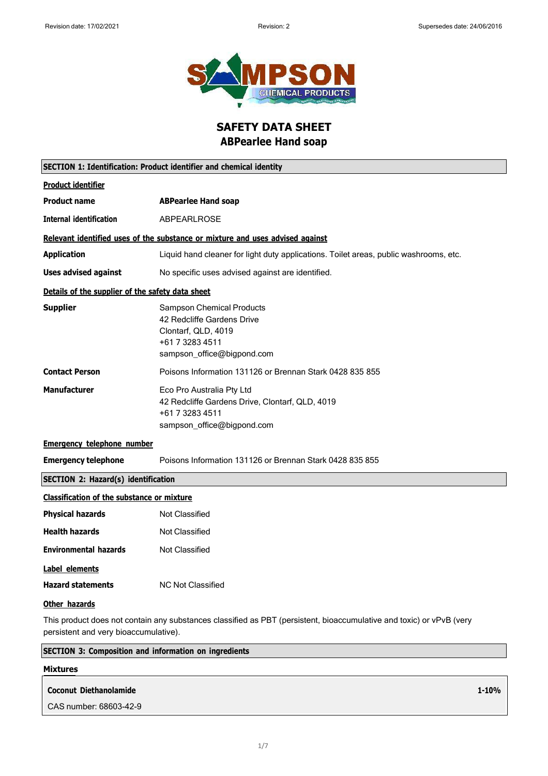

**SAFETY DATA SHEET ABPearlee Hand soap**

|                                                   | SECTION 1: Identification: Product identifier and chemical identity                                                                    |
|---------------------------------------------------|----------------------------------------------------------------------------------------------------------------------------------------|
| <b>Product identifier</b>                         |                                                                                                                                        |
| <b>Product name</b>                               | <b>ABPearlee Hand soap</b>                                                                                                             |
| <b>Internal identification</b>                    | <b>ABPEARLROSE</b>                                                                                                                     |
|                                                   | Relevant identified uses of the substance or mixture and uses advised against                                                          |
| <b>Application</b>                                | Liquid hand cleaner for light duty applications. Toilet areas, public washrooms, etc.                                                  |
| <b>Uses advised against</b>                       | No specific uses advised against are identified.                                                                                       |
| Details of the supplier of the safety data sheet  |                                                                                                                                        |
| <b>Supplier</b>                                   | <b>Sampson Chemical Products</b><br>42 Redcliffe Gardens Drive<br>Clontarf, QLD, 4019<br>+61 7 3283 4511<br>sampson_office@bigpond.com |
| <b>Contact Person</b>                             | Poisons Information 131126 or Brennan Stark 0428 835 855                                                                               |
| <b>Manufacturer</b>                               | Eco Pro Australia Pty Ltd<br>42 Redcliffe Gardens Drive, Clontarf, QLD, 4019<br>+61 7 3283 4511<br>sampson_office@bigpond.com          |
| <b>Emergency telephone number</b>                 |                                                                                                                                        |
| <b>Emergency telephone</b>                        | Poisons Information 131126 or Brennan Stark 0428 835 855                                                                               |
| <b>SECTION 2: Hazard(s) identification</b>        |                                                                                                                                        |
| <b>Classification of the substance or mixture</b> |                                                                                                                                        |
| <b>Physical hazards</b>                           | Not Classified                                                                                                                         |
| <b>Health hazards</b>                             | <b>Not Classified</b>                                                                                                                  |
| <b>Environmental hazards</b>                      | Not Classified                                                                                                                         |
| Label elements                                    |                                                                                                                                        |
| <b>Hazard statements</b>                          | <b>NC Not Classified</b>                                                                                                               |
| Other hazards                                     |                                                                                                                                        |
|                                                   | This product does not contain any substances classified as DRT (persistent, biogecumulative and toxic) or yPyR (yeny                   |

This product does not contain any substances classified as PBT (persistent, bioaccumulative and toxic) or vPvB (very persistent and very bioaccumulative).

### **SECTION 3: Composition and information on ingredients**

#### **Mixtures**

#### **Coconut Diethanolamide** CAS number: 68603-42-9 **1-10%**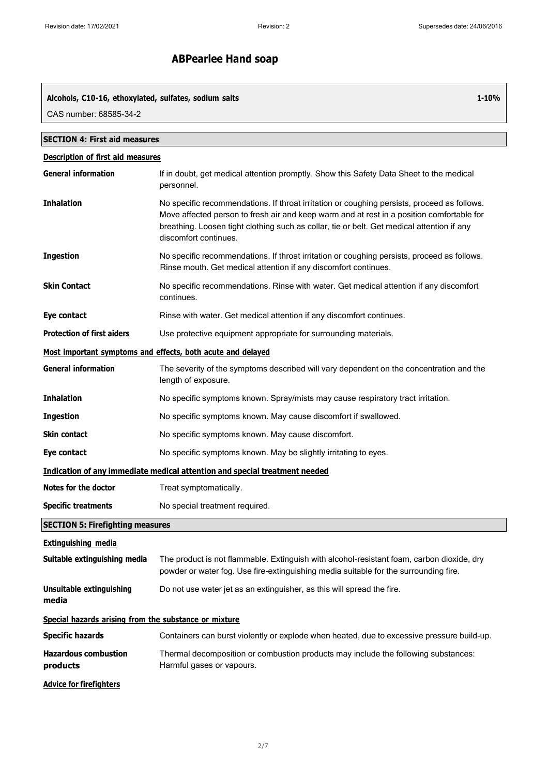**1-10%**

# **ABPearlee Hand soap**

#### **Alcohols, C10-16, ethoxylated, sulfates, sodium salts**

CAS number: 68585-34-2

| <b>SECTION 4: First aid measures</b>                        |                                                                                                                                                                                                                                                                                                                 |
|-------------------------------------------------------------|-----------------------------------------------------------------------------------------------------------------------------------------------------------------------------------------------------------------------------------------------------------------------------------------------------------------|
| <b>Description of first aid measures</b>                    |                                                                                                                                                                                                                                                                                                                 |
| <b>General information</b>                                  | If in doubt, get medical attention promptly. Show this Safety Data Sheet to the medical<br>personnel.                                                                                                                                                                                                           |
| <b>Inhalation</b>                                           | No specific recommendations. If throat irritation or coughing persists, proceed as follows.<br>Move affected person to fresh air and keep warm and at rest in a position comfortable for<br>breathing. Loosen tight clothing such as collar, tie or belt. Get medical attention if any<br>discomfort continues. |
| <b>Ingestion</b>                                            | No specific recommendations. If throat irritation or coughing persists, proceed as follows.<br>Rinse mouth. Get medical attention if any discomfort continues.                                                                                                                                                  |
| <b>Skin Contact</b>                                         | No specific recommendations. Rinse with water. Get medical attention if any discomfort<br>continues.                                                                                                                                                                                                            |
| Eye contact                                                 | Rinse with water. Get medical attention if any discomfort continues.                                                                                                                                                                                                                                            |
| <b>Protection of first aiders</b>                           | Use protective equipment appropriate for surrounding materials.                                                                                                                                                                                                                                                 |
| Most important symptoms and effects, both acute and delayed |                                                                                                                                                                                                                                                                                                                 |
| <b>General information</b>                                  | The severity of the symptoms described will vary dependent on the concentration and the<br>length of exposure.                                                                                                                                                                                                  |
| <b>Inhalation</b>                                           | No specific symptoms known. Spray/mists may cause respiratory tract irritation.                                                                                                                                                                                                                                 |
| <b>Ingestion</b>                                            | No specific symptoms known. May cause discomfort if swallowed.                                                                                                                                                                                                                                                  |
| <b>Skin contact</b>                                         | No specific symptoms known. May cause discomfort.                                                                                                                                                                                                                                                               |
| Eye contact                                                 | No specific symptoms known. May be slightly irritating to eyes.                                                                                                                                                                                                                                                 |
|                                                             | Indication of any immediate medical attention and special treatment needed                                                                                                                                                                                                                                      |
| Notes for the doctor                                        | Treat symptomatically.                                                                                                                                                                                                                                                                                          |
| <b>Specific treatments</b>                                  | No special treatment required.                                                                                                                                                                                                                                                                                  |
| <b>SECTION 5: Firefighting measures</b>                     |                                                                                                                                                                                                                                                                                                                 |
| <b>Extinguishing media</b>                                  |                                                                                                                                                                                                                                                                                                                 |
| Suitable extinguishing media                                | The product is not flammable. Extinguish with alcohol-resistant foam, carbon dioxide, dry<br>powder or water fog. Use fire-extinguishing media suitable for the surrounding fire.                                                                                                                               |
| <b>Unsuitable extinguishing</b><br>media                    | Do not use water jet as an extinguisher, as this will spread the fire.                                                                                                                                                                                                                                          |
| Special hazards arising from the substance or mixture       |                                                                                                                                                                                                                                                                                                                 |
| <b>Specific hazards</b>                                     | Containers can burst violently or explode when heated, due to excessive pressure build-up.                                                                                                                                                                                                                      |
| <b>Hazardous combustion</b><br>products                     | Thermal decomposition or combustion products may include the following substances:<br>Harmful gases or vapours.                                                                                                                                                                                                 |
| <b>Advice for firefighters</b>                              |                                                                                                                                                                                                                                                                                                                 |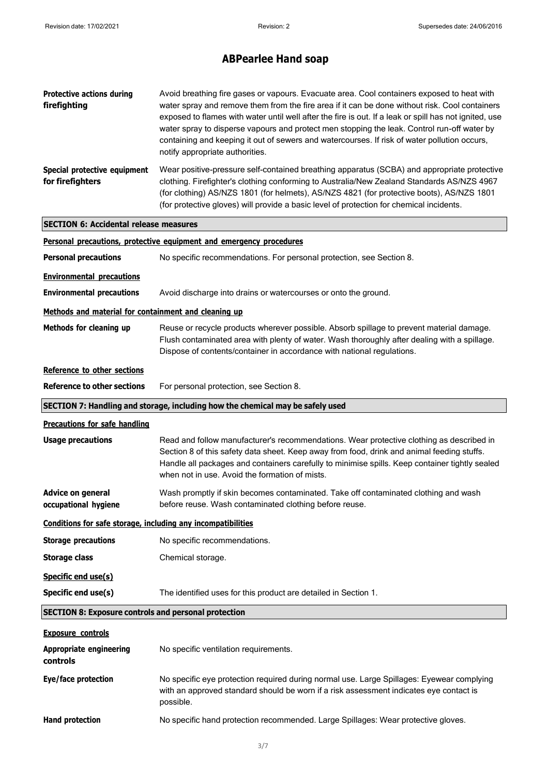| <b>Protective actions during</b><br>firefighting             | Avoid breathing fire gases or vapours. Evacuate area. Cool containers exposed to heat with<br>water spray and remove them from the fire area if it can be done without risk. Cool containers<br>exposed to flames with water until well after the fire is out. If a leak or spill has not ignited, use<br>water spray to disperse vapours and protect men stopping the leak. Control run-off water by<br>containing and keeping it out of sewers and watercourses. If risk of water pollution occurs,<br>notify appropriate authorities. |
|--------------------------------------------------------------|------------------------------------------------------------------------------------------------------------------------------------------------------------------------------------------------------------------------------------------------------------------------------------------------------------------------------------------------------------------------------------------------------------------------------------------------------------------------------------------------------------------------------------------|
| Special protective equipment<br>for firefighters             | Wear positive-pressure self-contained breathing apparatus (SCBA) and appropriate protective<br>clothing. Firefighter's clothing conforming to Australia/New Zealand Standards AS/NZS 4967<br>(for clothing) AS/NZS 1801 (for helmets), AS/NZS 4821 (for protective boots), AS/NZS 1801<br>(for protective gloves) will provide a basic level of protection for chemical incidents.                                                                                                                                                       |
| <b>SECTION 6: Accidental release measures</b>                |                                                                                                                                                                                                                                                                                                                                                                                                                                                                                                                                          |
|                                                              | Personal precautions, protective equipment and emergency procedures                                                                                                                                                                                                                                                                                                                                                                                                                                                                      |
| <b>Personal precautions</b>                                  | No specific recommendations. For personal protection, see Section 8.                                                                                                                                                                                                                                                                                                                                                                                                                                                                     |
| <b>Environmental precautions</b>                             |                                                                                                                                                                                                                                                                                                                                                                                                                                                                                                                                          |
| <b>Environmental precautions</b>                             | Avoid discharge into drains or watercourses or onto the ground.                                                                                                                                                                                                                                                                                                                                                                                                                                                                          |
| Methods and material for containment and cleaning up         |                                                                                                                                                                                                                                                                                                                                                                                                                                                                                                                                          |
| Methods for cleaning up                                      | Reuse or recycle products wherever possible. Absorb spillage to prevent material damage.<br>Flush contaminated area with plenty of water. Wash thoroughly after dealing with a spillage.<br>Dispose of contents/container in accordance with national regulations.                                                                                                                                                                                                                                                                       |
| Reference to other sections                                  |                                                                                                                                                                                                                                                                                                                                                                                                                                                                                                                                          |
| <b>Reference to other sections</b>                           | For personal protection, see Section 8.                                                                                                                                                                                                                                                                                                                                                                                                                                                                                                  |
|                                                              | SECTION 7: Handling and storage, including how the chemical may be safely used                                                                                                                                                                                                                                                                                                                                                                                                                                                           |
| <b>Precautions for safe handling</b>                         |                                                                                                                                                                                                                                                                                                                                                                                                                                                                                                                                          |
| <b>Usage precautions</b>                                     | Read and follow manufacturer's recommendations. Wear protective clothing as described in<br>Section 8 of this safety data sheet. Keep away from food, drink and animal feeding stuffs.<br>Handle all packages and containers carefully to minimise spills. Keep container tightly sealed<br>when not in use. Avoid the formation of mists.                                                                                                                                                                                               |
| <b>Advice on general</b><br>occupational hygiene             | Wash promptly if skin becomes contaminated. Take off contaminated clothing and wash<br>before reuse. Wash contaminated clothing before reuse.                                                                                                                                                                                                                                                                                                                                                                                            |
| Conditions for safe storage, including any incompatibilities |                                                                                                                                                                                                                                                                                                                                                                                                                                                                                                                                          |
| <b>Storage precautions</b>                                   | No specific recommendations.                                                                                                                                                                                                                                                                                                                                                                                                                                                                                                             |
| <b>Storage class</b>                                         | Chemical storage.                                                                                                                                                                                                                                                                                                                                                                                                                                                                                                                        |
| Specific end use(s)                                          |                                                                                                                                                                                                                                                                                                                                                                                                                                                                                                                                          |
| Specific end use(s)                                          | The identified uses for this product are detailed in Section 1.                                                                                                                                                                                                                                                                                                                                                                                                                                                                          |
| <b>SECTION 8: Exposure controls and personal protection</b>  |                                                                                                                                                                                                                                                                                                                                                                                                                                                                                                                                          |
| <b>Exposure controls</b>                                     |                                                                                                                                                                                                                                                                                                                                                                                                                                                                                                                                          |
| <b>Appropriate engineering</b><br>controls                   | No specific ventilation requirements.                                                                                                                                                                                                                                                                                                                                                                                                                                                                                                    |
| Eye/face protection                                          | No specific eye protection required during normal use. Large Spillages: Eyewear complying<br>with an approved standard should be worn if a risk assessment indicates eye contact is<br>possible.                                                                                                                                                                                                                                                                                                                                         |
| <b>Hand protection</b>                                       | No specific hand protection recommended. Large Spillages: Wear protective gloves.                                                                                                                                                                                                                                                                                                                                                                                                                                                        |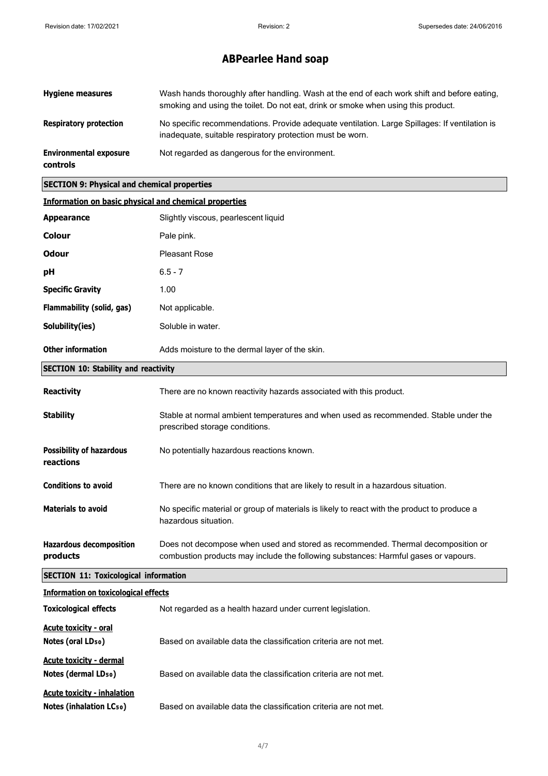| <b>Hygiene measures</b>                          | Wash hands thoroughly after handling. Wash at the end of each work shift and before eating,<br>smoking and using the toilet. Do not eat, drink or smoke when using this product. |
|--------------------------------------------------|----------------------------------------------------------------------------------------------------------------------------------------------------------------------------------|
| <b>Respiratory protection</b>                    | No specific recommendations. Provide adequate ventilation. Large Spillages: If ventilation is<br>inadequate, suitable respiratory protection must be worn.                       |
| <b>Environmental exposure</b><br><b>controls</b> | Not regarded as dangerous for the environment.                                                                                                                                   |

#### **SECTION 9: Physical and chemical properties**

| <b>Information on basic physical and chemical properties</b> |                                                                                                                                                                         |
|--------------------------------------------------------------|-------------------------------------------------------------------------------------------------------------------------------------------------------------------------|
| <b>Appearance</b>                                            | Slightly viscous, pearlescent liquid                                                                                                                                    |
| Colour                                                       | Pale pink.                                                                                                                                                              |
| <b>Odour</b>                                                 | <b>Pleasant Rose</b>                                                                                                                                                    |
| рH                                                           | $6.5 - 7$                                                                                                                                                               |
| <b>Specific Gravity</b>                                      | 1.00                                                                                                                                                                    |
| Flammability (solid, gas)                                    | Not applicable.                                                                                                                                                         |
| Solubility(ies)                                              | Soluble in water.                                                                                                                                                       |
| <b>Other information</b>                                     | Adds moisture to the dermal layer of the skin.                                                                                                                          |
| <b>SECTION 10: Stability and reactivity</b>                  |                                                                                                                                                                         |
| Reactivity                                                   | There are no known reactivity hazards associated with this product.                                                                                                     |
| <b>Stability</b>                                             | Stable at normal ambient temperatures and when used as recommended. Stable under the<br>prescribed storage conditions.                                                  |
| <b>Possibility of hazardous</b><br>reactions                 | No potentially hazardous reactions known.                                                                                                                               |
| <b>Conditions to avoid</b>                                   | There are no known conditions that are likely to result in a hazardous situation.                                                                                       |
| <b>Materials to avoid</b>                                    | No specific material or group of materials is likely to react with the product to produce a<br>hazardous situation.                                                     |
| <b>Hazardous decomposition</b><br>products                   | Does not decompose when used and stored as recommended. Thermal decomposition or<br>combustion products may include the following substances: Harmful gases or vapours. |

#### **SECTION 11: Toxicological information**

| <b>Information on toxicological effects</b>                          |                                                                  |
|----------------------------------------------------------------------|------------------------------------------------------------------|
| <b>Toxicological effects</b>                                         | Not regarded as a health hazard under current legislation.       |
| <b>Acute toxicity - oral</b><br>Notes (oral LD <sub>50</sub> )       | Based on available data the classification criteria are not met. |
| <b>Acute toxicity - dermal</b><br>Notes (dermal LD <sub>50</sub> )   | Based on available data the classification criteria are not met. |
| <b>Acute toxicity - inhalation</b><br><b>Notes (inhalation LC50)</b> | Based on available data the classification criteria are not met. |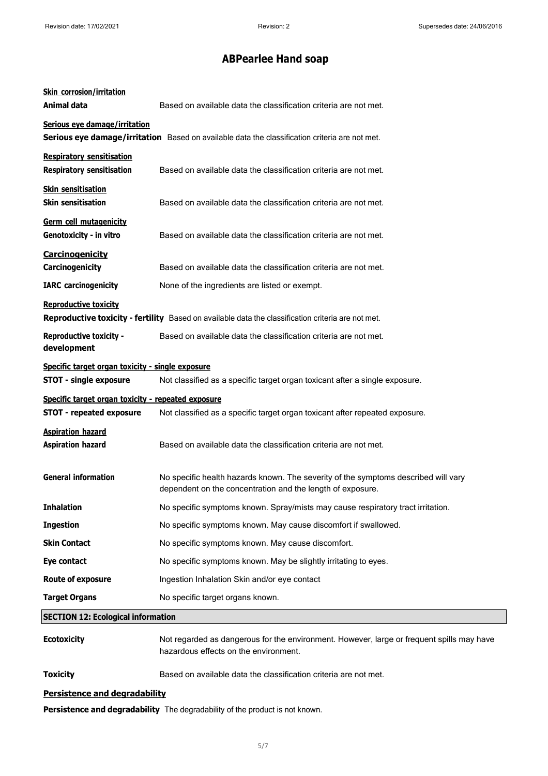| <b>Skin corrosion/irritation</b><br>Animal data                                       | Based on available data the classification criteria are not met.                                                                                 |
|---------------------------------------------------------------------------------------|--------------------------------------------------------------------------------------------------------------------------------------------------|
| Serious eye damage/irritation                                                         | Serious eye damage/irritation Based on available data the classification criteria are not met.                                                   |
| <b>Respiratory sensitisation</b><br><b>Respiratory sensitisation</b>                  | Based on available data the classification criteria are not met.                                                                                 |
| <b>Skin sensitisation</b><br><b>Skin sensitisation</b>                                | Based on available data the classification criteria are not met.                                                                                 |
| <b>Germ cell mutagenicity</b><br>Genotoxicity - in vitro                              | Based on available data the classification criteria are not met.                                                                                 |
| <b>Carcinogenicity</b><br>Carcinogenicity                                             | Based on available data the classification criteria are not met.                                                                                 |
| <b>IARC</b> carcinogenicity                                                           | None of the ingredients are listed or exempt.                                                                                                    |
| <b>Reproductive toxicity</b>                                                          | Reproductive toxicity - fertility Based on available data the classification criteria are not met.                                               |
| <b>Reproductive toxicity -</b><br>development                                         | Based on available data the classification criteria are not met.                                                                                 |
| Specific target organ toxicity - single exposure<br><b>STOT - single exposure</b>     | Not classified as a specific target organ toxicant after a single exposure.                                                                      |
| Specific target organ toxicity - repeated exposure<br><b>STOT - repeated exposure</b> | Not classified as a specific target organ toxicant after repeated exposure.                                                                      |
| <b>Aspiration hazard</b><br><b>Aspiration hazard</b>                                  | Based on available data the classification criteria are not met.                                                                                 |
| <b>General information</b>                                                            | No specific health hazards known. The severity of the symptoms described will vary<br>dependent on the concentration and the length of exposure. |
| <b>Inhalation</b>                                                                     | No specific symptoms known. Spray/mists may cause respiratory tract irritation.                                                                  |
| <b>Ingestion</b>                                                                      | No specific symptoms known. May cause discomfort if swallowed.                                                                                   |
| <b>Skin Contact</b>                                                                   | No specific symptoms known. May cause discomfort.                                                                                                |
| Eye contact                                                                           | No specific symptoms known. May be slightly irritating to eyes.                                                                                  |
| <b>Route of exposure</b>                                                              | Ingestion Inhalation Skin and/or eye contact                                                                                                     |
| <b>Target Organs</b>                                                                  | No specific target organs known.                                                                                                                 |
| <b>SECTION 12: Ecological information</b>                                             |                                                                                                                                                  |
| <b>Ecotoxicity</b>                                                                    | Not regarded as dangerous for the environment. However, large or frequent spills may have<br>hazardous effects on the environment.               |
| <b>Toxicity</b>                                                                       | Based on available data the classification criteria are not met.                                                                                 |

#### **Persistence and degradability**

**Persistence and degradability** The degradability of the product is not known.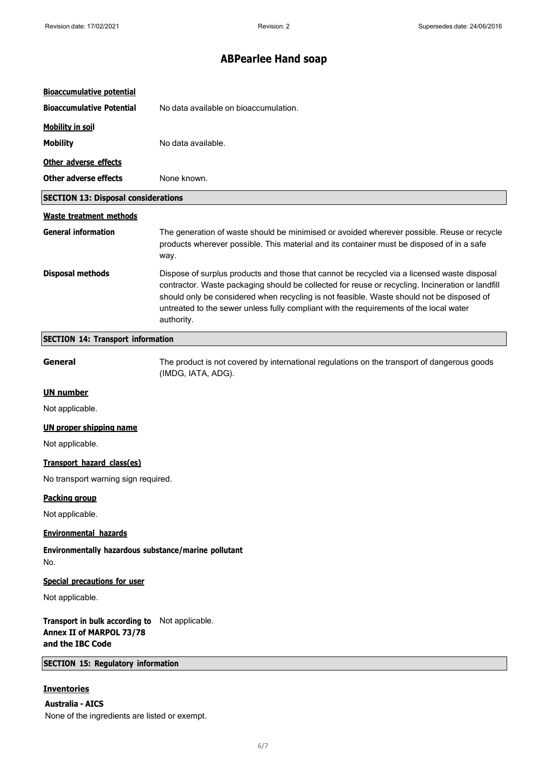| <b>Bioaccumulative potential</b>                                                               |                                                                                                                                                                                                                                                                                                                                                                                                      |
|------------------------------------------------------------------------------------------------|------------------------------------------------------------------------------------------------------------------------------------------------------------------------------------------------------------------------------------------------------------------------------------------------------------------------------------------------------------------------------------------------------|
| <b>Bioaccumulative Potential</b>                                                               | No data available on bioaccumulation.                                                                                                                                                                                                                                                                                                                                                                |
| <b>Mobility in soil</b>                                                                        |                                                                                                                                                                                                                                                                                                                                                                                                      |
| <b>Mobility</b>                                                                                | No data available.                                                                                                                                                                                                                                                                                                                                                                                   |
| Other adverse effects                                                                          |                                                                                                                                                                                                                                                                                                                                                                                                      |
| <b>Other adverse effects</b>                                                                   | None known.                                                                                                                                                                                                                                                                                                                                                                                          |
| <b>SECTION 13: Disposal considerations</b>                                                     |                                                                                                                                                                                                                                                                                                                                                                                                      |
| <b>Waste treatment methods</b>                                                                 |                                                                                                                                                                                                                                                                                                                                                                                                      |
| <b>General information</b>                                                                     | The generation of waste should be minimised or avoided wherever possible. Reuse or recycle<br>products wherever possible. This material and its container must be disposed of in a safe<br>way.                                                                                                                                                                                                      |
| <b>Disposal methods</b>                                                                        | Dispose of surplus products and those that cannot be recycled via a licensed waste disposal<br>contractor. Waste packaging should be collected for reuse or recycling. Incineration or landfill<br>should only be considered when recycling is not feasible. Waste should not be disposed of<br>untreated to the sewer unless fully compliant with the requirements of the local water<br>authority. |
| <b>SECTION 14: Transport information</b>                                                       |                                                                                                                                                                                                                                                                                                                                                                                                      |
| General                                                                                        | The product is not covered by international regulations on the transport of dangerous goods<br>(IMDG, IATA, ADG).                                                                                                                                                                                                                                                                                    |
| <b>UN number</b>                                                                               |                                                                                                                                                                                                                                                                                                                                                                                                      |
| Not applicable.                                                                                |                                                                                                                                                                                                                                                                                                                                                                                                      |
| <b>UN proper shipping name</b>                                                                 |                                                                                                                                                                                                                                                                                                                                                                                                      |
| Not applicable.                                                                                |                                                                                                                                                                                                                                                                                                                                                                                                      |
| Transport hazard class(es)                                                                     |                                                                                                                                                                                                                                                                                                                                                                                                      |
| No transport warning sign required.                                                            |                                                                                                                                                                                                                                                                                                                                                                                                      |
| <b>Packing group</b>                                                                           |                                                                                                                                                                                                                                                                                                                                                                                                      |
| Not applicable.                                                                                |                                                                                                                                                                                                                                                                                                                                                                                                      |
| <b>Environmental hazards</b>                                                                   |                                                                                                                                                                                                                                                                                                                                                                                                      |
| Environmentally hazardous substance/marine pollutant<br>No.                                    |                                                                                                                                                                                                                                                                                                                                                                                                      |
| Special precautions for user                                                                   |                                                                                                                                                                                                                                                                                                                                                                                                      |
| Not applicable.                                                                                |                                                                                                                                                                                                                                                                                                                                                                                                      |
| Transport in bulk according to Not applicable.<br>Annex II of MARPOL 73/78<br>and the IBC Code |                                                                                                                                                                                                                                                                                                                                                                                                      |
| <b>SECTION 15: Regulatory information</b>                                                      |                                                                                                                                                                                                                                                                                                                                                                                                      |
| <b>Inventories</b>                                                                             |                                                                                                                                                                                                                                                                                                                                                                                                      |

**Australia - AICS** None of the ingredients are listed or exempt.